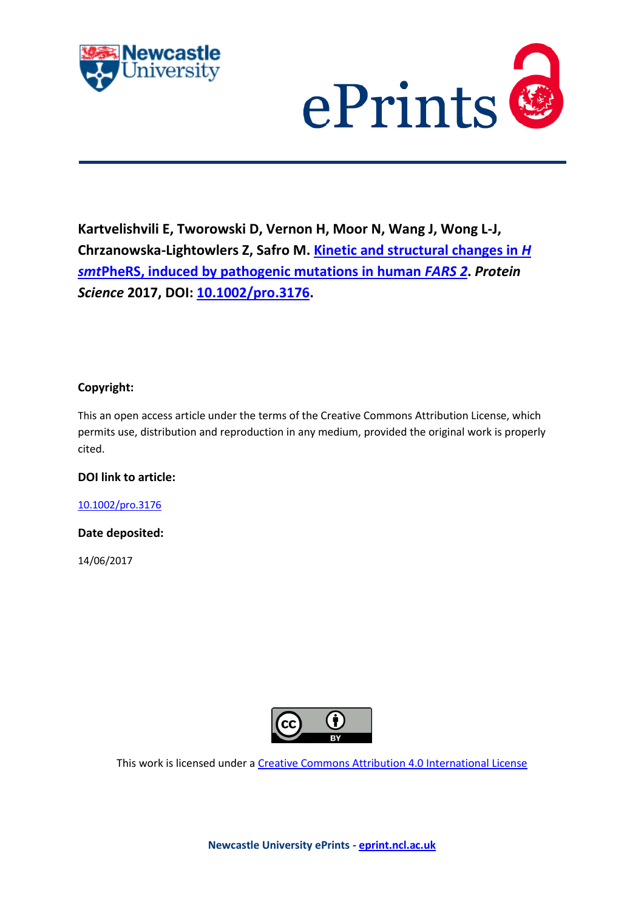



**Kartvelishvili E, Tworowski D, Vernon H, Moor N, Wang J, Wong L-J, Chrzanowska-Lightowlers Z, Safro M. [Kinetic and structural changes in](http://eprint.ncl.ac.uk/pub_details2.aspx?pub_id=238308)** *H smt***[PheRS, induced by pathogenic mutations in human](http://eprint.ncl.ac.uk/pub_details2.aspx?pub_id=238308)** *FARS 2***.** *Protein Science* **2017, DOI: [10.1002/pro.3176.](https://doi.org/10.1002/pro.3176)**

# **Copyright:**

This an open access article under the terms of the Creative Commons Attribution License, which permits use, distribution and reproduction in any medium, provided the original work is properly cited.

# **DOI link to article:**

[10.1002/pro.3176](https://doi.org/10.1002/pro.3176)

# **Date deposited:**

14/06/2017



This work is licensed under [a Creative Commons Attribution 4.0 International License](http://creativecommons.org/licenses/by/4.0/)

**Newcastle University ePrints - [eprint.ncl.ac.uk](http://eprint.ncl.ac.uk/)**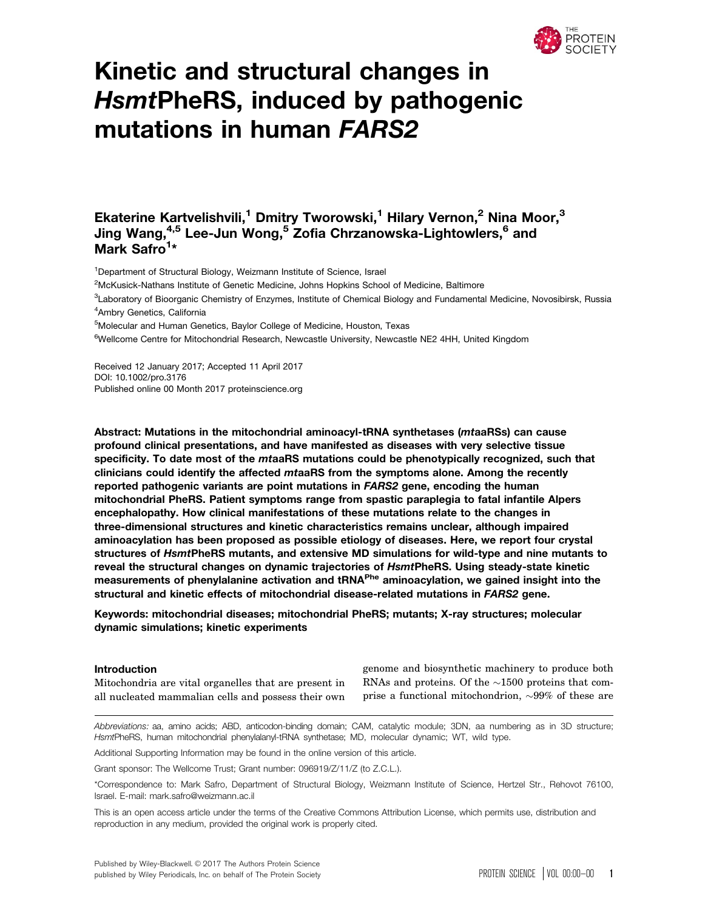

# Kinetic and structural changes in HsmtPheRS, induced by pathogenic mutations in human FARS2

# Ekaterine Kartvelishvili,<sup>1</sup> Dmitry Tworowski,<sup>1</sup> Hilary Vernon,<sup>2</sup> Nina Moor,<sup>3</sup> Jing Wang,<sup>4,5</sup> Lee-Jun Wong,<sup>5</sup> Zofia Chrzanowska-Lightowlers,<sup>6</sup> and Mark Safro<sup>1</sup>\*

<sup>1</sup>Department of Structural Biology, Weizmann Institute of Science, Israel

<sup>2</sup>McKusick-Nathans Institute of Genetic Medicine, Johns Hopkins School of Medicine, Baltimore

<sup>3</sup>Laboratory of Bioorganic Chemistry of Enzymes, Institute of Chemical Biology and Fundamental Medicine, Novosibirsk, Russia 4 Ambry Genetics, California

<sup>5</sup>Molecular and Human Genetics, Baylor College of Medicine, Houston, Texas

<sup>6</sup>Wellcome Centre for Mitochondrial Research, Newcastle University, Newcastle NE2 4HH, United Kingdom

Received 12 January 2017; Accepted 11 April 2017 DOI: 10.1002/pro.3176 Published online 00 Month 2017 proteinscience.org

Abstract: Mutations in the mitochondrial aminoacyl-tRNA synthetases (mtaaRSs) can cause profound clinical presentations, and have manifested as diseases with very selective tissue specificity. To date most of the mtaaRS mutations could be phenotypically recognized, such that clinicians could identify the affected mtaaRS from the symptoms alone. Among the recently reported pathogenic variants are point mutations in FARS2 gene, encoding the human mitochondrial PheRS. Patient symptoms range from spastic paraplegia to fatal infantile Alpers encephalopathy. How clinical manifestations of these mutations relate to the changes in three-dimensional structures and kinetic characteristics remains unclear, although impaired aminoacylation has been proposed as possible etiology of diseases. Here, we report four crystal structures of HsmtPheRS mutants, and extensive MD simulations for wild-type and nine mutants to reveal the structural changes on dynamic trajectories of HsmtPheRS. Using steady-state kinetic measurements of phenylalanine activation and tRNA<sup>Phe</sup> aminoacylation, we gained insight into the structural and kinetic effects of mitochondrial disease-related mutations in FARS2 gene.

Keywords: mitochondrial diseases; mitochondrial PheRS; mutants; X-ray structures; molecular dynamic simulations; kinetic experiments

#### Introduction

Mitochondria are vital organelles that are present in all nucleated mammalian cells and possess their own genome and biosynthetic machinery to produce both RNAs and proteins. Of the  $\sim\!\!1500$  proteins that comprise a functional mitochondrion,  ${\sim}{99\%}$  of these are

Abbreviations: aa, amino acids; ABD, anticodon-binding domain; CAM, catalytic module; 3DN, aa numbering as in 3D structure; HsmtPheRS, human mitochondrial phenylalanyl-tRNA synthetase; MD, molecular dynamic; WT, wild type.

Additional Supporting Information may be found in the online version of this article.

Grant sponsor: The Wellcome Trust; Grant number: 096919/Z/11/Z (to Z.C.L.).

\*Correspondence to: Mark Safro, Department of Structural Biology, Weizmann Institute of Science, Hertzel Str., Rehovot 76100, Israel. E-mail: mark.safro@weizmann.ac.il

This is an open access article under the terms of the [Creative Commons Attribution](http://creativecommons.org/licenses/by/4.0/) License, which permits use, distribution and reproduction in any medium, provided the original work is properly cited.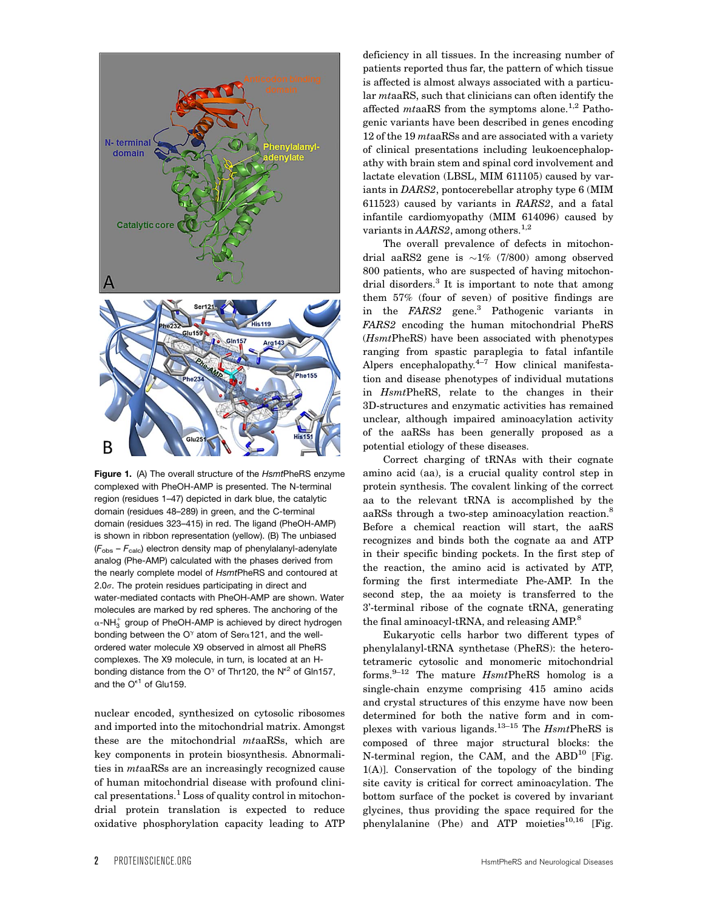

Figure 1. (A) The overall structure of the HsmtPheRS enzyme complexed with PheOH-AMP is presented. The N-terminal region (residues 1–47) depicted in dark blue, the catalytic domain (residues 48–289) in green, and the C-terminal domain (residues 323–415) in red. The ligand (PheOH-AMP) is shown in ribbon representation (yellow). (B) The unbiased  $(F<sub>obs</sub> - F<sub>calc</sub>)$  electron density map of phenylalanyl-adenylate analog (Phe-AMP) calculated with the phases derived from the nearly complete model of HsmtPheRS and contoured at 2.0 $\sigma$ . The protein residues participating in direct and water-mediated contacts with PheOH-AMP are shown. Water molecules are marked by red spheres. The anchoring of the  $\alpha$ -NH $_3^+$  group of PheOH-AMP is achieved by direct hydrogen bonding between the O<sup> $\gamma$ </sup> atom of Ser $\alpha$ 121, and the wellordered water molecule X9 observed in almost all PheRS complexes. The X9 molecule, in turn, is located at an Hbonding distance from the O<sup> $\gamma$ </sup> of Thr120, the N<sup>e2</sup> of Gln157, and the  $O^{\epsilon 1}$  of Glu159.

nuclear encoded, synthesized on cytosolic ribosomes and imported into the mitochondrial matrix. Amongst these are the mitochondrial mtaaRSs, which are key components in protein biosynthesis. Abnormalities in mtaaRSs are an increasingly recognized cause of human mitochondrial disease with profound clinical presentations.<sup>1</sup> Loss of quality control in mitochondrial protein translation is expected to reduce oxidative phosphorylation capacity leading to ATP

deficiency in all tissues. In the increasing number of patients reported thus far, the pattern of which tissue is affected is almost always associated with a particular mtaaRS, such that clinicians can often identify the affected  $mta$ aRS from the symptoms alone.<sup>1,2</sup> Pathogenic variants have been described in genes encoding 12 of the 19 mtaaRSs and are associated with a variety of clinical presentations including leukoencephalopathy with brain stem and spinal cord involvement and lactate elevation (LBSL, MIM 611105) caused by variants in DARS2, pontocerebellar atrophy type 6 (MIM 611523) caused by variants in RARS2, and a fatal infantile cardiomyopathy (MIM 614096) caused by variants in  $AARS2$ , among others.<sup>1,2</sup>

The overall prevalence of defects in mitochondrial aa $\rm RS2$  gene is  ${\sim}1\%$  (7/800) among observed 800 patients, who are suspected of having mitochondrial disorders.<sup>3</sup> It is important to note that among them 57% (four of seven) of positive findings are in the FARS2 gene.3 Pathogenic variants in FARS2 encoding the human mitochondrial PheRS (HsmtPheRS) have been associated with phenotypes ranging from spastic paraplegia to fatal infantile Alpers encephalopathy. $4-7$  How clinical manifestation and disease phenotypes of individual mutations in HsmtPheRS, relate to the changes in their 3D-structures and enzymatic activities has remained unclear, although impaired aminoacylation activity of the aaRSs has been generally proposed as a potential etiology of these diseases.

Correct charging of tRNAs with their cognate amino acid (aa), is a crucial quality control step in protein synthesis. The covalent linking of the correct aa to the relevant tRNA is accomplished by the aaRSs through a two-step aminoacylation reaction.<sup>8</sup> Before a chemical reaction will start, the aaRS recognizes and binds both the cognate aa and ATP in their specific binding pockets. In the first step of the reaction, the amino acid is activated by ATP, forming the first intermediate Phe-AMP. In the second step, the aa moiety is transferred to the 3'-terminal ribose of the cognate tRNA, generating the final aminoacyl-tRNA, and releasing AMP.<sup>8</sup>

Eukaryotic cells harbor two different types of phenylalanyl-tRNA synthetase (PheRS): the heterotetrameric cytosolic and monomeric mitochondrial forms. $9-12$  The mature *Hsmt*PheRS homolog is a single-chain enzyme comprising 415 amino acids and crystal structures of this enzyme have now been determined for both the native form and in complexes with various ligands.<sup>13-15</sup> The  $HsmtPheRS$  is composed of three major structural blocks: the N-terminal region, the CAM, and the  $ABD^{10}$  [Fig. 1(A)]. Conservation of the topology of the binding site cavity is critical for correct aminoacylation. The bottom surface of the pocket is covered by invariant glycines, thus providing the space required for the phenylalanine (Phe) and ATP moieties<sup>10,16</sup> [Fig.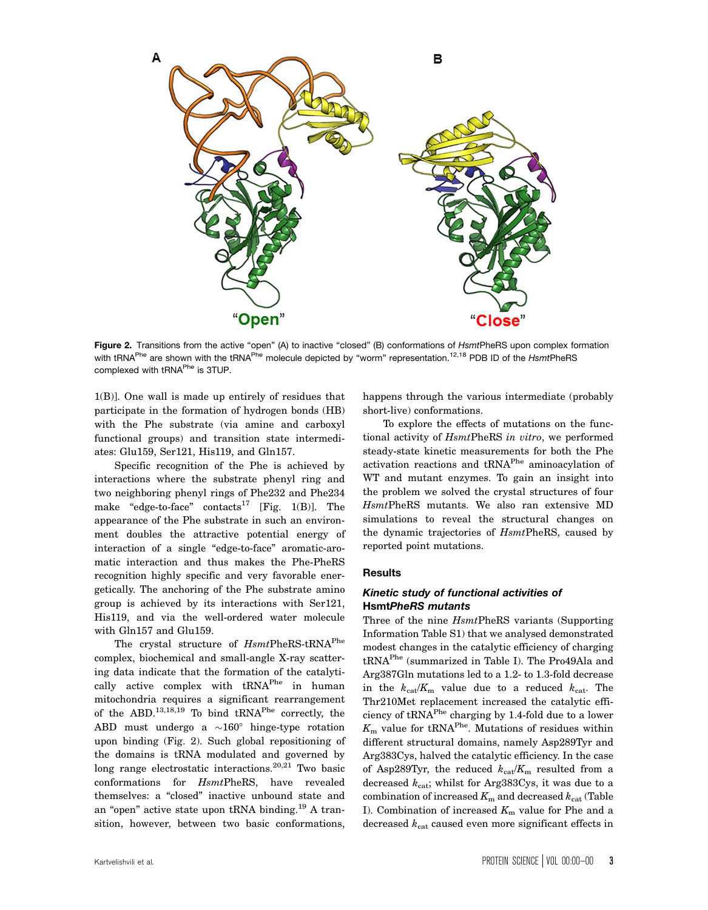

Figure 2. Transitions from the active "open" (A) to inactive "closed" (B) conformations of HsmtPheRS upon complex formation with tRNA<sup>Phe</sup> are shown with the tRNA<sup>Phe</sup> molecule depicted by "worm" representation.<sup>12,18</sup> PDB ID of the HsmtPheRS complexed with tRNA<sup>Phe</sup> is 3TUP.

1(B)]. One wall is made up entirely of residues that participate in the formation of hydrogen bonds (HB) with the Phe substrate (via amine and carboxyl functional groups) and transition state intermediates: Glu159, Ser121, His119, and Gln157.

Specific recognition of the Phe is achieved by interactions where the substrate phenyl ring and two neighboring phenyl rings of Phe232 and Phe234 make "edge-to-face" contacts<sup>17</sup> [Fig. 1(B)]. The appearance of the Phe substrate in such an environment doubles the attractive potential energy of interaction of a single "edge-to-face" aromatic-aromatic interaction and thus makes the Phe-PheRS recognition highly specific and very favorable energetically. The anchoring of the Phe substrate amino group is achieved by its interactions with Ser121, His119, and via the well-ordered water molecule with Gln157 and Glu159.

The crystal structure of  $HsmtPheRS-tRNA<sup>Phe</sup>$ complex, biochemical and small-angle X-ray scattering data indicate that the formation of the catalytically active complex with  $tRNA<sup>Phe</sup>$  in human mitochondria requires a significant rearrangement of the ABD.13,18,19 To bind tRNAPhe correctly, the  $\mathrm{ABD}$  must undergo a  ${\sim}160^\circ$  hinge-type rotation upon binding (Fig. 2). Such global repositioning of the domains is tRNA modulated and governed by long range electrostatic interactions. $20,21$  Two basic conformations for HsmtPheRS, have revealed themselves: a "closed" inactive unbound state and an "open" active state upon tRNA binding.<sup>19</sup> A transition, however, between two basic conformations,

happens through the various intermediate (probably short-live) conformations.

To explore the effects of mutations on the functional activity of  $HsmtPheRS$  in vitro, we performed steady-state kinetic measurements for both the Phe activation reactions and tRNA<sup>Phe</sup> aminoacylation of WT and mutant enzymes. To gain an insight into the problem we solved the crystal structures of four HsmtPheRS mutants. We also ran extensive MD simulations to reveal the structural changes on the dynamic trajectories of HsmtPheRS, caused by reported point mutations.

#### Results

### Kinetic study of functional activities of HsmtPheRS mutants

Three of the nine HsmtPheRS variants (Supporting Information Table S1) that we analysed demonstrated modest changes in the catalytic efficiency of charging tRNAPhe (summarized in Table I). The Pro49Ala and Arg387Gln mutations led to a 1.2- to 1.3-fold decrease in the  $k_{cat}/K_m$  value due to a reduced  $k_{cat}$ . The Thr210Met replacement increased the catalytic efficiency of tRNA<sup>Phe</sup> charging by 1.4-fold due to a lower  $K_{\rm m}$  value for tRNA<sup>Phe</sup>. Mutations of residues within different structural domains, namely Asp289Tyr and Arg383Cys, halved the catalytic efficiency. In the case of Asp289Tyr, the reduced  $k_{cat}/K_m$  resulted from a decreased  $k_{\text{cat}}$ ; whilst for Arg383Cys, it was due to a combination of increased  $K<sub>m</sub>$  and decreased  $k<sub>cat</sub>$  (Table I). Combination of increased  $K<sub>m</sub>$  value for Phe and a decreased  $k_{\text{cat}}$  caused even more significant effects in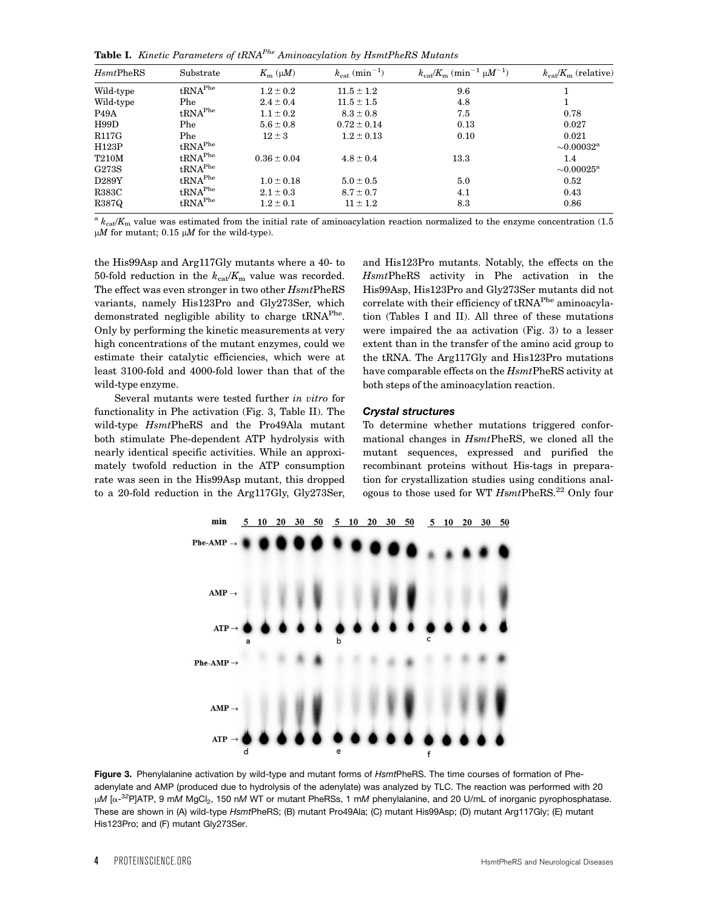Table I. Kinetic Parameters of  $tRNA<sup>Phe</sup> Aminoacylation$  by HsmtPheRS Mutants

| H smtPheRS        | Substrate                      | $K_{\rm m}$ ( $\mu$ <i>M</i> ) | $k_{\text{cat}}\left(\text{min}^{-1}\right)$ | $k_{\rm cat}/K_{\rm m}$ (min <sup>-1</sup> $\mu$ <i>M</i> <sup>-1</sup> ) | $k_{\text{cat}}/K_{\text{m}}$ (relative) |
|-------------------|--------------------------------|--------------------------------|----------------------------------------------|---------------------------------------------------------------------------|------------------------------------------|
| Wild-type         | $\mathbf{tRNA}^{\mathrm{Phe}}$ | $1.2 \pm 0.2$                  | $11.5 \pm 1.2$                               | 9.6                                                                       |                                          |
| Wild-type         | Phe                            | $2.4 \pm 0.4$                  | $11.5 \pm 1.5$                               | 4.8                                                                       |                                          |
| P <sub>49</sub> A | $\mathbf{tRNA}^{\mathrm{Phe}}$ | $1.1 \pm 0.2$                  | $8.3 \pm 0.8$                                | 7.5                                                                       | 0.78                                     |
| H99D              | Phe                            | $5.6 \pm 0.8$                  | $0.72 \pm 0.14$                              | 0.13                                                                      | 0.027                                    |
| R117G             | Phe                            | $12 \pm 3$                     | $1.2 \pm 0.13$                               | 0.10                                                                      | 0.021                                    |
| H123P             | $\text{tRNA}^{\text{Phe}}$     |                                |                                              |                                                                           | $\sim 0.00032^{\rm a}$                   |
| <b>T210M</b>      | $\text{tRNA}^{\text{Phe}}$     | $0.36 \pm 0.04$                | $4.8 \pm 0.4$                                | 13.3                                                                      | 1.4                                      |
| G273S             | $\text{tRNA}^{\text{Phe}}$     |                                |                                              |                                                                           | ${\sim}0.00025^{\mathrm{a}}$             |
| D289Y             | $\text{tRNA}^{\text{Phe}}$     | $1.0 \pm 0.18$                 | $5.0 \pm 0.5$                                | 5.0                                                                       | 0.52                                     |
| <b>R383C</b>      | $\mathbf{tRNA}^{\mathrm{Phe}}$ | $2.1 \pm 0.3$                  | $8.7 \pm 0.7$                                | 4.1                                                                       | 0.43                                     |
| R387Q             | $\text{tRNA}^{\text{Phe}}$     | $1.2 \pm 0.1$                  | $11 \pm 1.2$                                 | 8.3                                                                       | 0.86                                     |

<sup>a</sup>  $k_{\text{cat}}/K_{\text{m}}$  value was estimated from the initial rate of aminoacylation reaction normalized to the enzyme concentration (1.5)  $\mu$ M for mutant; 0.15  $\mu$ M for the wild-type).

the His99Asp and Arg117Gly mutants where a 40- to 50-fold reduction in the  $k_{cat}/K_m$  value was recorded. The effect was even stronger in two other  $HsmtPheRS$ variants, namely His123Pro and Gly273Ser, which demonstrated negligible ability to charge tRNA<sup>Phe</sup>. Only by performing the kinetic measurements at very high concentrations of the mutant enzymes, could we estimate their catalytic efficiencies, which were at least 3100-fold and 4000-fold lower than that of the wild-type enzyme.

Several mutants were tested further in vitro for functionality in Phe activation (Fig. 3, Table II). The wild-type HsmtPheRS and the Pro49Ala mutant both stimulate Phe-dependent ATP hydrolysis with nearly identical specific activities. While an approximately twofold reduction in the ATP consumption rate was seen in the His99Asp mutant, this dropped to a 20-fold reduction in the Arg117Gly, Gly273Ser,

and His123Pro mutants. Notably, the effects on the HsmtPheRS activity in Phe activation in the His99Asp, His123Pro and Gly273Ser mutants did not correlate with their efficiency of tRNA<sup>Phe</sup> aminoacylation (Tables I and II). All three of these mutations were impaired the aa activation (Fig. 3) to a lesser extent than in the transfer of the amino acid group to the tRNA. The Arg117Gly and His123Pro mutations have comparable effects on the  $HsmtPheRS$  activity at both steps of the aminoacylation reaction.

#### Crystal structures

To determine whether mutations triggered conformational changes in HsmtPheRS, we cloned all the mutant sequences, expressed and purified the recombinant proteins without His-tags in preparation for crystallization studies using conditions analogous to those used for WT  $H$ smtPheRS.<sup>22</sup> Only four



Figure 3. Phenylalanine activation by wild-type and mutant forms of HsmtPheRS. The time courses of formation of Pheadenylate and AMP (produced due to hydrolysis of the adenylate) was analyzed by TLC. The reaction was performed with 20 μM [α-<sup>32</sup>P]ATP, 9 mM MgCl<sub>2</sub>, 150 nM WT or mutant PheRSs, 1 mM phenylalanine, and 20 U/mL of inorganic pyrophosphatase. These are shown in (A) wild-type HsmtPheRS; (B) mutant Pro49Ala; (C) mutant His99Asp; (D) mutant Arg117Gly; (E) mutant His123Pro; and (F) mutant Gly273Ser.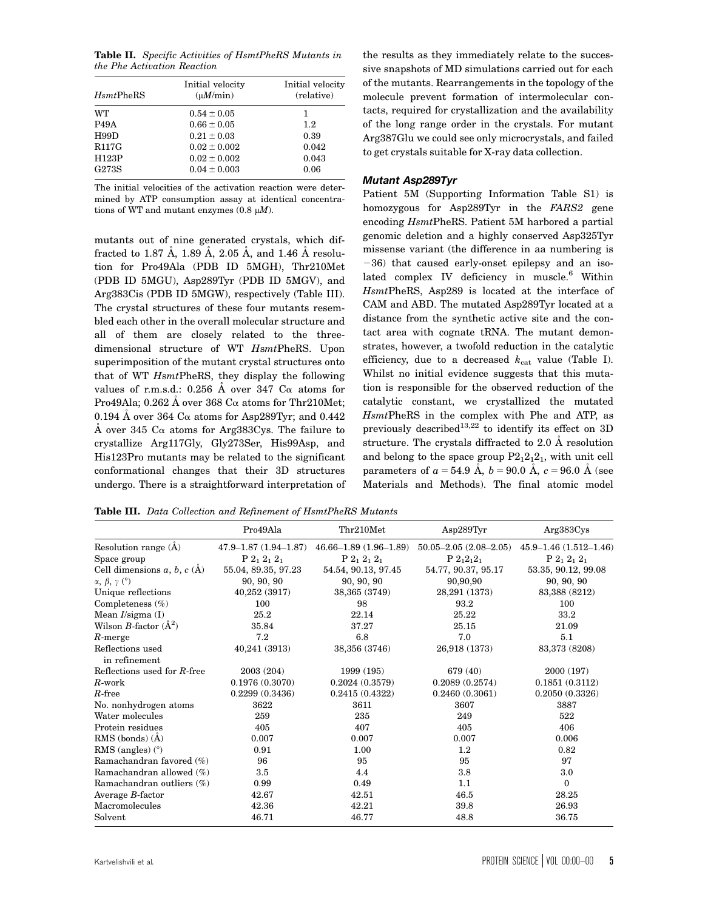Table II. Specific Activities of HsmtPheRS Mutants in the Phe Activation Reaction

| H smtPheRS         | Initial velocity<br>$(\mu M/min)$ | Initial velocity<br>(relative) |
|--------------------|-----------------------------------|--------------------------------|
| <b>WT</b>          | $0.54 \pm 0.05$                   | 1                              |
| P <sub>49</sub> A  | $0.66 \pm 0.05$                   | 1.2                            |
| H99D               | $0.21 \pm 0.03$                   | 0.39                           |
| R <sub>117</sub> G | $0.02 \pm 0.002$                  | 0.042                          |
| H123P              | $0.02 \pm 0.002$                  | 0.043                          |
| G273S              | $0.04 \pm 0.003$                  | 0.06                           |

The initial velocities of the activation reaction were determined by ATP consumption assay at identical concentrations of WT and mutant enzymes  $(0.8 \mu M)$ .

mutants out of nine generated crystals, which diffracted to 1.87 Å, 1.89 Å, 2.05 Å, and 1.46 Å resolution for Pro49Ala (PDB ID 5MGH), Thr210Met (PDB ID 5MGU), Asp289Tyr (PDB ID 5MGV), and Arg383Cis (PDB ID 5MGW), respectively (Table III). The crystal structures of these four mutants resembled each other in the overall molecular structure and all of them are closely related to the threedimensional structure of WT HsmtPheRS. Upon superimposition of the mutant crystal structures onto that of WT HsmtPheRS, they display the following values of r.m.s.d.: 0.256  $\AA$  over 347  $\text{Ca}$  atoms for Pro49Ala; 0.262 A over 368 C $\alpha$  atoms for Thr210Met; 0.194 Å over 364  $C_{\alpha}$  atoms for Asp289Tyr; and 0.442 Å over 345  $\rm Ca$  atoms for Arg383Cys. The failure to crystallize Arg117Gly, Gly273Ser, His99Asp, and His123Pro mutants may be related to the significant conformational changes that their 3D structures undergo. There is a straightforward interpretation of the results as they immediately relate to the successive snapshots of MD simulations carried out for each of the mutants. Rearrangements in the topology of the molecule prevent formation of intermolecular contacts, required for crystallization and the availability of the long range order in the crystals. For mutant Arg387Glu we could see only microcrystals, and failed to get crystals suitable for X-ray data collection.

## Mutant Asp289Tyr

Patient 5M (Supporting Information Table S1) is homozygous for Asp289Tyr in the FARS2 gene encoding HsmtPheRS. Patient 5M harbored a partial genomic deletion and a highly conserved Asp325Tyr missense variant (the difference in aa numbering is  $-36$ ) that caused early-onset epilepsy and an isolated complex IV deficiency in muscle.<sup>6</sup> Within HsmtPheRS, Asp289 is located at the interface of CAM and ABD. The mutated Asp289Tyr located at a distance from the synthetic active site and the contact area with cognate tRNA. The mutant demonstrates, however, a twofold reduction in the catalytic efficiency, due to a decreased  $k_{\text{cat}}$  value (Table I). Whilst no initial evidence suggests that this mutation is responsible for the observed reduction of the catalytic constant, we crystallized the mutated HsmtPheRS in the complex with Phe and ATP, as previously described<sup>13,22</sup> to identify its effect on 3D structure. The crystals diffracted to 2.0 Å resolution and belong to the space group  $P2_12_12_1$ , with unit cell parameters of  $a = 54.9 \text{ Å}, b = 90.0 \text{ Å}, c = 96.0 \text{ Å}$  (see Materials and Methods). The final atomic model

Table III. Data Collection and Refinement of HsmtPheRS Mutants

|                                   | Pro49Ala                      | Thr210Met                   | Asp289Tvr                   | Arg383Cys                   |
|-----------------------------------|-------------------------------|-----------------------------|-----------------------------|-----------------------------|
| Resolution range $(\dot{A})$      | $47.9 - 1.87$ $(1.94 - 1.87)$ | $46.66 - 1.89(1.96 - 1.89)$ | $50.05 - 2.05(2.08 - 2.05)$ | $45.9 - 1.46(1.512 - 1.46)$ |
| Space group                       | $P_2$ , $2_1$ , $2_1$         | $P_2_1 2_1 2_1$             | $P 212121$                  | $P_2$ , $2_1$ , $2_1$       |
| Cell dimensions $a, b, c$ (A)     | 55.04, 89.35, 97.23           | 54.54, 90.13, 97.45         | 54.77, 90.37, 95.17         | 53.35, 90.12, 99.08         |
| $\alpha$ , $\beta$ , $\gamma$ (°) | 90, 90, 90                    | 90, 90, 90                  | 90,90,90                    | 90, 90, 90                  |
| Unique reflections                | 40,252 (3917)                 | 38,365 (3749)               | 28,291 (1373)               | 83,388 (8212)               |
| Completeness $(\%)$               | 100                           | 98                          | 93.2                        | 100                         |
| Mean I/sigma (I)                  | 25.2                          | 22.14                       | 25.22                       | 33.2                        |
| Wilson B-factor $(\AA^2)$         | 35.84                         | 37.27                       | 25.15                       | 21.09                       |
| $R$ -merge                        | 7.2                           | 6.8                         | 7.0                         | 5.1                         |
| Reflections used<br>in refinement | 40,241 (3913)                 | 38,356 (3746)               | 26,918 (1373)               | 83,373 (8208)               |
| Reflections used for R-free       | 2003 (204)                    | 1999 (195)                  | 679 (40)                    | 2000 (197)                  |
| $R$ -work                         | 0.1976(0.3070)                | 0.2024(0.3579)              | 0.2089(0.2574)              | 0.1851(0.3112)              |
| $R$ -free                         | 0.2299(0.3436)                | 0.2415(0.4322)              | 0.2460(0.3061)              | 0.2050(0.3326)              |
| No. nonhydrogen atoms             | 3622                          | 3611                        | 3607                        | 3887                        |
| Water molecules                   | 259                           | 235                         | 249                         | 522                         |
| Protein residues                  | 405                           | 407                         | 405                         | 406                         |
| RMS (bonds) (A)                   | 0.007                         | 0.007                       | 0.007                       | 0.006                       |
| RMS (angles) $(°)$                | 0.91                          | 1.00                        | $1.2\,$                     | 0.82                        |
| Ramachandran favored (%)          | 96                            | 95                          | 95                          | 97                          |
| Ramachandran allowed (%)          | $3.5\,$                       | 4.4                         | 3.8                         | 3.0                         |
| Ramachandran outliers (%)         | 0.99                          | 0.49                        | 1.1                         | $\bf{0}$                    |
| Average $B$ -factor               | 42.67                         | 42.51                       | 46.5                        | 28.25                       |
| Macromolecules                    | 42.36                         | 42.21                       | 39.8                        | 26.93                       |
| Solvent                           | 46.71                         | 46.77                       | 48.8                        | 36.75                       |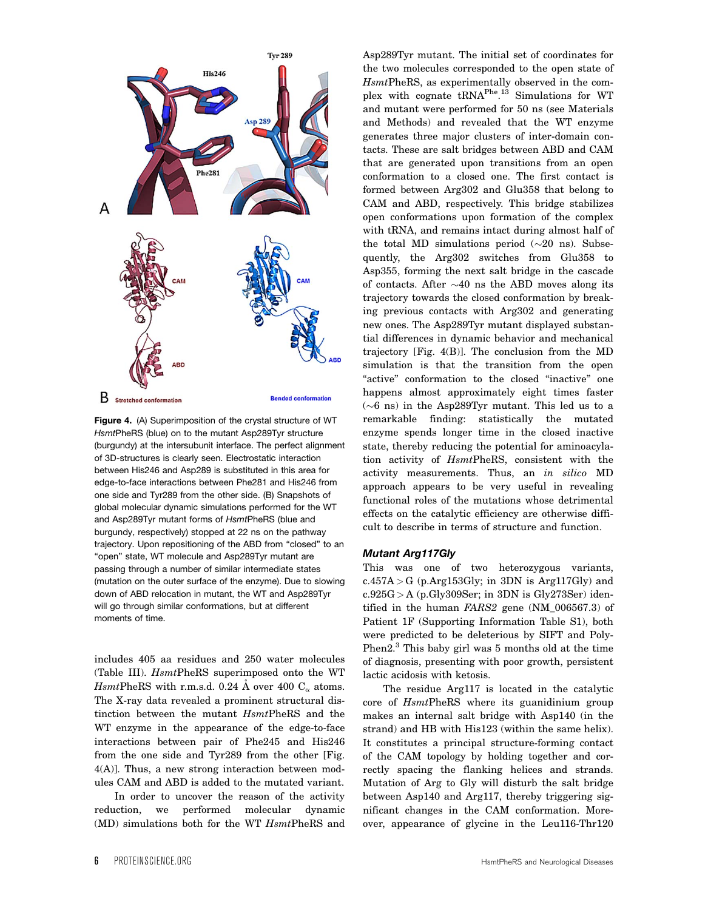

Figure 4. (A) Superimposition of the crystal structure of WT HsmtPheRS (blue) on to the mutant Asp289Tyr structure (burgundy) at the intersubunit interface. The perfect alignment of 3D-structures is clearly seen. Electrostatic interaction between His246 and Asp289 is substituted in this area for edge-to-face interactions between Phe281 and His246 from one side and Tyr289 from the other side. (B) Snapshots of global molecular dynamic simulations performed for the WT and Asp289Tyr mutant forms of HsmtPheRS (blue and burgundy, respectively) stopped at 22 ns on the pathway trajectory. Upon repositioning of the ABD from "closed" to an "open" state, WT molecule and Asp289Tyr mutant are passing through a number of similar intermediate states (mutation on the outer surface of the enzyme). Due to slowing down of ABD relocation in mutant, the WT and Asp289Tyr will go through similar conformations, but at different moments of time.

includes 405 aa residues and 250 water molecules (Table III). HsmtPheRS superimposed onto the WT HsmtPheRS with r.m.s.d. 0.24 Å over 400  $C_{\alpha}$  atoms. The X-ray data revealed a prominent structural distinction between the mutant HsmtPheRS and the WT enzyme in the appearance of the edge-to-face interactions between pair of Phe245 and His246 from the one side and Tyr289 from the other [Fig. 4(A)]. Thus, a new strong interaction between modules CAM and ABD is added to the mutated variant.

In order to uncover the reason of the activity reduction, we performed molecular dynamic (MD) simulations both for the WT HsmtPheRS and

Asp289Tyr mutant. The initial set of coordinates for the two molecules corresponded to the open state of HsmtPheRS, as experimentally observed in the complex with cognate tRNA<sup>Phe</sup>.<sup>13</sup> Simulations for WT and mutant were performed for 50 ns (see Materials and Methods) and revealed that the WT enzyme generates three major clusters of inter-domain contacts. These are salt bridges between ABD and CAM that are generated upon transitions from an open conformation to a closed one. The first contact is formed between Arg302 and Glu358 that belong to CAM and ABD, respectively. This bridge stabilizes open conformations upon formation of the complex with tRNA, and remains intact during almost half of the total MD simulations period  $(\sim]20$  ns). Subsequently, the Arg302 switches from Glu358 to Asp355, forming the next salt bridge in the cascade of contacts. After  ${\sim}40$  ns the ABD moves along its trajectory towards the closed conformation by breaking previous contacts with Arg302 and generating new ones. The Asp289Tyr mutant displayed substantial differences in dynamic behavior and mechanical trajectory [Fig. 4(B)]. The conclusion from the MD simulation is that the transition from the open "active" conformation to the closed "inactive" one happens almost approximately eight times faster  $({\sim}6\,$  ns) in the Asp289Tyr mutant. This led us to a remarkable finding: statistically the mutated enzyme spends longer time in the closed inactive state, thereby reducing the potential for aminoacylation activity of HsmtPheRS, consistent with the activity measurements. Thus, an in silico MD approach appears to be very useful in revealing functional roles of the mutations whose detrimental effects on the catalytic efficiency are otherwise difficult to describe in terms of structure and function.

#### Mutant Arg117Gly

This was one of two heterozygous variants,  $c.457A > G$  (p. Arg 153Gly; in 3DN is Arg 117Gly) and  $c.925G > A$  (p.Gly309Ser; in 3DN is Gly273Ser) identified in the human FARS2 gene (NM\_006567.3) of Patient 1F (Supporting Information Table S1), both were predicted to be deleterious by SIFT and Poly-Phen2.<sup>3</sup> This baby girl was 5 months old at the time of diagnosis, presenting with poor growth, persistent lactic acidosis with ketosis.

The residue Arg117 is located in the catalytic core of HsmtPheRS where its guanidinium group makes an internal salt bridge with Asp140 (in the strand) and HB with His123 (within the same helix). It constitutes a principal structure-forming contact of the CAM topology by holding together and correctly spacing the flanking helices and strands. Mutation of Arg to Gly will disturb the salt bridge between Asp140 and Arg117, thereby triggering significant changes in the CAM conformation. Moreover, appearance of glycine in the Leu116-Thr120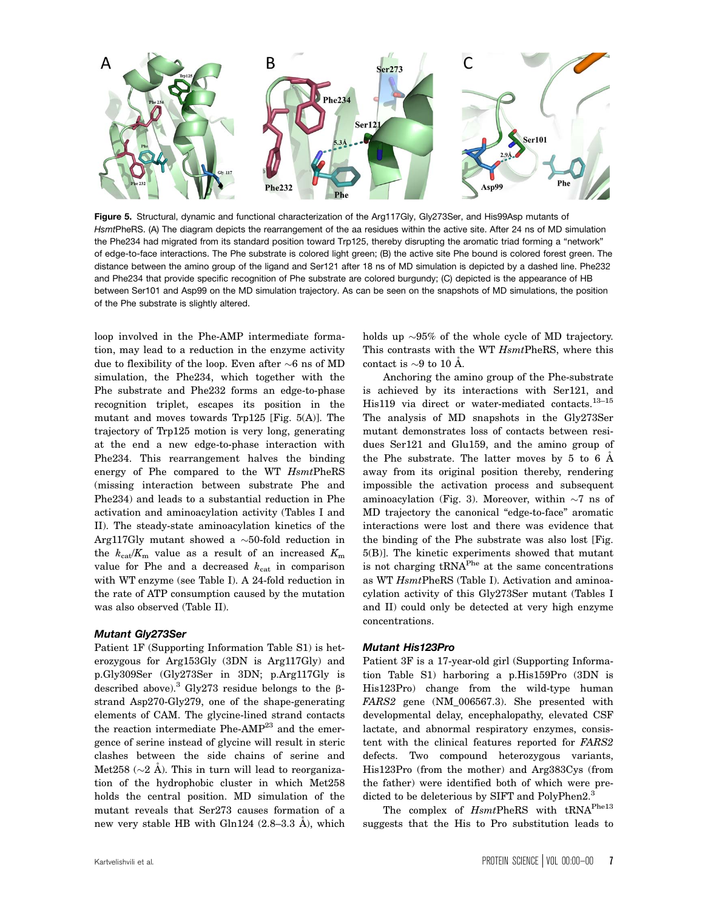

Figure 5. Structural, dynamic and functional characterization of the Arg117Gly, Gly273Ser, and His99Asp mutants of HsmtPheRS. (A) The diagram depicts the rearrangement of the aa residues within the active site. After 24 ns of MD simulation the Phe234 had migrated from its standard position toward Trp125, thereby disrupting the aromatic triad forming a "network" of edge-to-face interactions. The Phe substrate is colored light green; (B) the active site Phe bound is colored forest green. The distance between the amino group of the ligand and Ser121 after 18 ns of MD simulation is depicted by a dashed line. Phe232 and Phe234 that provide specific recognition of Phe substrate are colored burgundy; (C) depicted is the appearance of HB between Ser101 and Asp99 on the MD simulation trajectory. As can be seen on the snapshots of MD simulations, the position of the Phe substrate is slightly altered.

loop involved in the Phe-AMP intermediate formation, may lead to a reduction in the enzyme activity due to flexibility of the loop. Even after  ${\sim}6$  ns of MD simulation, the Phe234, which together with the Phe substrate and Phe232 forms an edge-to-phase recognition triplet, escapes its position in the mutant and moves towards Trp125 [Fig. 5(A)]. The trajectory of Trp125 motion is very long, generating at the end a new edge-to-phase interaction with Phe234. This rearrangement halves the binding energy of Phe compared to the WT HsmtPheRS (missing interaction between substrate Phe and Phe234) and leads to a substantial reduction in Phe activation and aminoacylation activity (Tables I and II). The steady-state aminoacylation kinetics of the Arg117Gly mutant showed a  ${\sim}50\text{-fold}$  reduction in the  $k_{\text{cat}}/K_{\text{m}}$  value as a result of an increased  $K_{\text{m}}$ value for Phe and a decreased  $k_{\text{cat}}$  in comparison with WT enzyme (see Table I). A 24-fold reduction in the rate of ATP consumption caused by the mutation was also observed (Table II).

## Mutant Gly273Ser

Patient 1F (Supporting Information Table S1) is heterozygous for Arg153Gly (3DN is Arg117Gly) and p.Gly309Ser (Gly273Ser in 3DN; p.Arg117Gly is described above).<sup>3</sup> Gly273 residue belongs to the  $\beta$ strand Asp270-Gly279, one of the shape-generating elements of CAM. The glycine-lined strand contacts the reaction intermediate Phe-AMP<sup>23</sup> and the emergence of serine instead of glycine will result in steric clashes between the side chains of serine and Met258 ( $\sim$ 2 Å). This in turn will lead to reorganization of the hydrophobic cluster in which Met258 holds the central position. MD simulation of the mutant reveals that Ser273 causes formation of a new very stable HB with Gln124  $(2.8-3.3 \text{ Å})$ , which

holds up  ${\sim}95\%$  of the whole cycle of MD trajectory. This contrasts with the WT  $HsmtPheRS$ , where this contact is  $\sim$ 9 to 10 Å.

Anchoring the amino group of the Phe-substrate is achieved by its interactions with Ser121, and His119 via direct or water-mediated contacts.<sup>13-15</sup> The analysis of MD snapshots in the Gly273Ser mutant demonstrates loss of contacts between residues Ser121 and Glu159, and the amino group of the Phe substrate. The latter moves by 5 to 6  $\AA$ away from its original position thereby, rendering impossible the activation process and subsequent aminoacylation (Fig. 3). Moreover, within  $\sim7$  ns of MD trajectory the canonical "edge-to-face" aromatic interactions were lost and there was evidence that the binding of the Phe substrate was also lost [Fig. 5(B)]. The kinetic experiments showed that mutant is not charging tRNAPhe at the same concentrations as WT HsmtPheRS (Table I). Activation and aminoacylation activity of this Gly273Ser mutant (Tables I and II) could only be detected at very high enzyme concentrations.

#### Mutant His123Pro

Patient 3F is a 17-year-old girl (Supporting Information Table S1) harboring a p.His159Pro (3DN is His123Pro) change from the wild-type human FARS2 gene (NM\_006567.3). She presented with developmental delay, encephalopathy, elevated CSF lactate, and abnormal respiratory enzymes, consistent with the clinical features reported for FARS2 defects. Two compound heterozygous variants, His123Pro (from the mother) and Arg383Cys (from the father) were identified both of which were predicted to be deleterious by SIFT and PolyPhen2.<sup>3</sup>

The complex of  $HsmtPheRS$  with  $\text{tRNA}^{\text{Phe13}}$ suggests that the His to Pro substitution leads to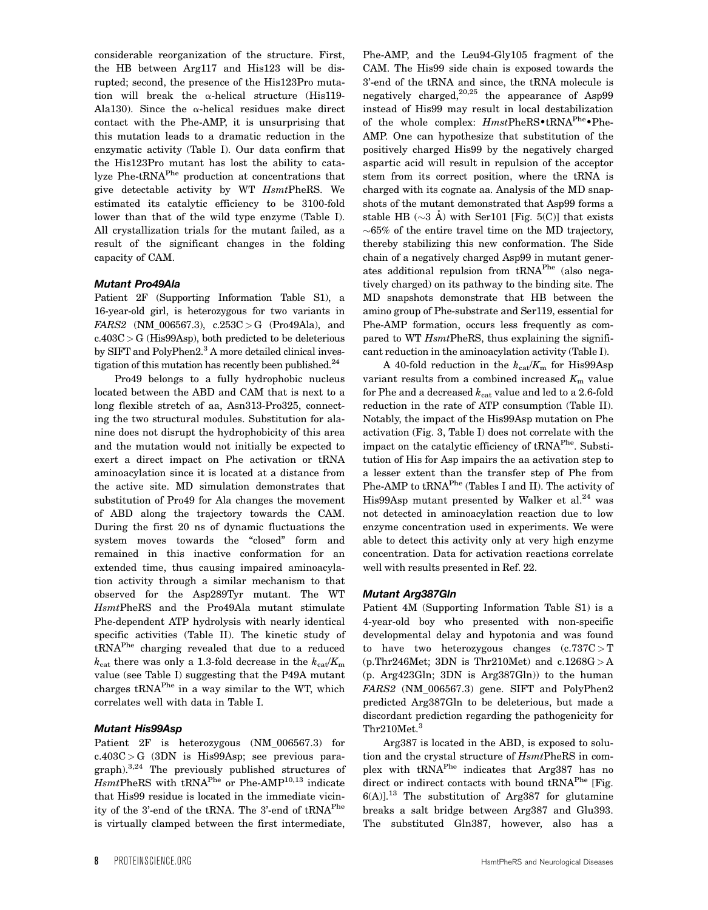considerable reorganization of the structure. First, the HB between Arg117 and His123 will be disrupted; second, the presence of the His123Pro mutation will break the  $\alpha$ -helical structure (His119-Ala130). Since the  $\alpha$ -helical residues make direct contact with the Phe-AMP, it is unsurprising that this mutation leads to a dramatic reduction in the enzymatic activity (Table I). Our data confirm that the His123Pro mutant has lost the ability to catalyze Phe-tRNAPhe production at concentrations that give detectable activity by WT HsmtPheRS. We estimated its catalytic efficiency to be 3100-fold lower than that of the wild type enzyme (Table I). All crystallization trials for the mutant failed, as a result of the significant changes in the folding capacity of CAM.

### Mutant Pro49Ala

Patient 2F (Supporting Information Table S1), a 16-year-old girl, is heterozygous for two variants in  $FARS2$  (NM\_006567.3),  $c.253C > G$  (Pro49Ala), and  $c.403C > G$  (His $99Asp$ ), both predicted to be deleterious by SIFT and PolyPhen2.<sup>3</sup> A more detailed clinical investigation of this mutation has recently been published. $^{24}$ 

Pro49 belongs to a fully hydrophobic nucleus located between the ABD and CAM that is next to a long flexible stretch of aa, Asn313-Pro325, connecting the two structural modules. Substitution for alanine does not disrupt the hydrophobicity of this area and the mutation would not initially be expected to exert a direct impact on Phe activation or tRNA aminoacylation since it is located at a distance from the active site. MD simulation demonstrates that substitution of Pro49 for Ala changes the movement of ABD along the trajectory towards the CAM. During the first 20 ns of dynamic fluctuations the system moves towards the "closed" form and remained in this inactive conformation for an extended time, thus causing impaired aminoacylation activity through a similar mechanism to that observed for the Asp289Tyr mutant. The WT HsmtPheRS and the Pro49Ala mutant stimulate Phe-dependent ATP hydrolysis with nearly identical specific activities (Table II). The kinetic study of tRNAPhe charging revealed that due to a reduced  $k_{\text{cat}}$  there was only a 1.3-fold decrease in the  $k_{\text{cat}}/K_{\text{m}}$ value (see Table I) suggesting that the P49A mutant charges tRNAPhe in a way similar to the WT, which correlates well with data in Table I.

## Mutant His99Asp

Patient 2F is heterozygous (NM\_006567.3) for c.403C > G (3DN is His99Asp; see previous paragraph).3,24 The previously published structures of  $H smtPheRS$  with tRNA<sup>Phe</sup> or Phe-AMP<sup>10,13</sup> indicate that His99 residue is located in the immediate vicinity of the 3'-end of the tRNA. The 3'-end of tRNA<sup>Phe</sup> is virtually clamped between the first intermediate,

Phe-AMP, and the Leu94-Gly105 fragment of the CAM. The His99 side chain is exposed towards the 3'-end of the tRNA and since, the tRNA molecule is negatively charged, $20,25$  the appearance of Asp99 instead of His99 may result in local destabilization of the whole complex:  $HmstPheRS\cdot tRNA^{Phe}\cdot Phe-$ AMP. One can hypothesize that substitution of the positively charged His99 by the negatively charged aspartic acid will result in repulsion of the acceptor stem from its correct position, where the tRNA is charged with its cognate aa. Analysis of the MD snapshots of the mutant demonstrated that Asp99 forms a stable HB ( $\sim$ 3 Å) with Ser101 [Fig. 5(C)] that exists  $\sim$ 65% of the entire travel time on the MD trajectory, thereby stabilizing this new conformation. The Side chain of a negatively charged Asp99 in mutant generates additional repulsion from tRNAPhe (also negatively charged) on its pathway to the binding site. The MD snapshots demonstrate that HB between the amino group of Phe-substrate and Ser119, essential for Phe-AMP formation, occurs less frequently as compared to WT  $HsmtPheRS$ , thus explaining the significant reduction in the aminoacylation activity (Table I).

A 40-fold reduction in the  $k_{\text{cat}}/K_{\text{m}}$  for His99Asp variant results from a combined increased  $K<sub>m</sub>$  value for Phe and a decreased  $k_{\text{cat}}$  value and led to a 2.6-fold reduction in the rate of ATP consumption (Table II). Notably, the impact of the His99Asp mutation on Phe activation (Fig. 3, Table I) does not correlate with the impact on the catalytic efficiency of tRNA<sup>Phe</sup>. Substitution of His for Asp impairs the aa activation step to a lesser extent than the transfer step of Phe from Phe-AMP to tRNA<sup>Phe</sup> (Tables I and II). The activity of His $99$ Asp mutant presented by Walker et al.<sup>24</sup> was not detected in aminoacylation reaction due to low enzyme concentration used in experiments. We were able to detect this activity only at very high enzyme concentration. Data for activation reactions correlate well with results presented in Ref. 22.

#### Mutant Arg387Gln

Patient 4M (Supporting Information Table S1) is a 4-year-old boy who presented with non-specific developmental delay and hypotonia and was found to have two heterozygous changes  $(c.737C > T)$ (p.Thr246Met; 3DN is Thr210Met) and  $c.1268G > A$ (p. Arg423Gln; 3DN is Arg387Gln)) to the human FARS2 (NM\_006567.3) gene. SIFT and PolyPhen2 predicted Arg387Gln to be deleterious, but made a discordant prediction regarding the pathogenicity for Thr210Met.<sup>3</sup>

Arg387 is located in the ABD, is exposed to solution and the crystal structure of HsmtPheRS in complex with tRNAPhe indicates that Arg387 has no direct or indirect contacts with bound tRNA<sup>Phe</sup> [Fig.  $6(A)$ <sup>13</sup> The substitution of Arg387 for glutamine breaks a salt bridge between Arg387 and Glu393. The substituted Gln387, however, also has a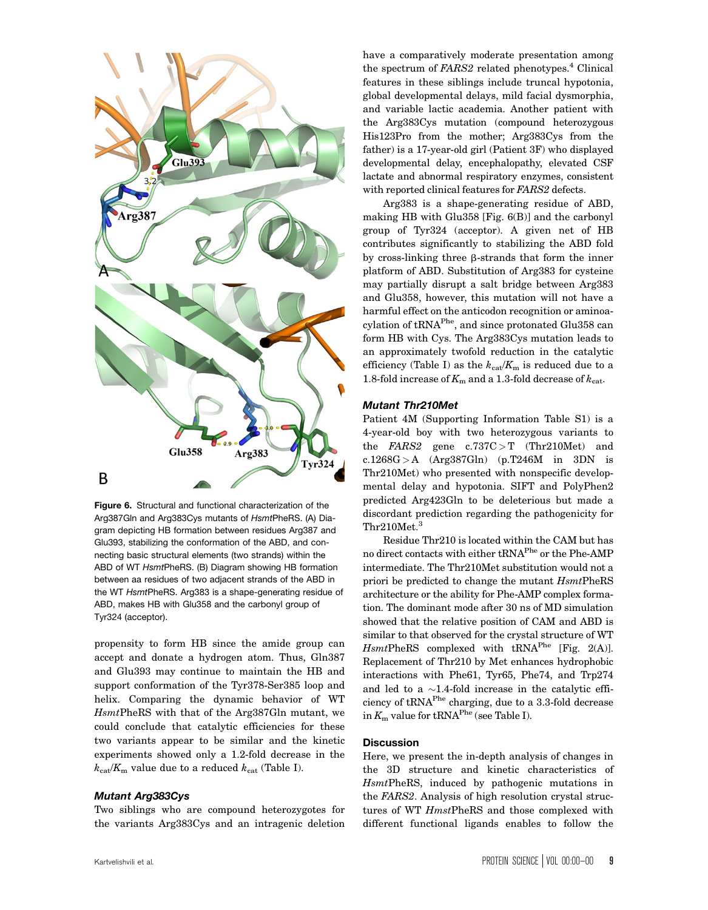

Figure 6. Structural and functional characterization of the Arg387Gln and Arg383Cys mutants of HsmtPheRS. (A) Diagram depicting HB formation between residues Arg387 and Glu393, stabilizing the conformation of the ABD, and connecting basic structural elements (two strands) within the ABD of WT HsmtPheRS. (B) Diagram showing HB formation between aa residues of two adjacent strands of the ABD in the WT HsmtPheRS. Arg383 is a shape-generating residue of ABD, makes HB with Glu358 and the carbonyl group of Tyr324 (acceptor).

propensity to form HB since the amide group can accept and donate a hydrogen atom. Thus, Gln387 and Glu393 may continue to maintain the HB and support conformation of the Tyr378-Ser385 loop and helix. Comparing the dynamic behavior of WT HsmtPheRS with that of the Arg387Gln mutant, we could conclude that catalytic efficiencies for these two variants appear to be similar and the kinetic experiments showed only a 1.2-fold decrease in the  $k_{\text{cat}}/K_{\text{m}}$  value due to a reduced  $k_{\text{cat}}$  (Table I).

### Mutant Arg383Cys

Two siblings who are compound heterozygotes for the variants Arg383Cys and an intragenic deletion

have a comparatively moderate presentation among the spectrum of FARS2 related phenotypes.<sup>4</sup> Clinical features in these siblings include truncal hypotonia, global developmental delays, mild facial dysmorphia, and variable lactic academia. Another patient with the Arg383Cys mutation (compound heterozygous His123Pro from the mother; Arg383Cys from the father) is a 17-year-old girl (Patient 3F) who displayed developmental delay, encephalopathy, elevated CSF lactate and abnormal respiratory enzymes, consistent with reported clinical features for FARS2 defects.

Arg383 is a shape-generating residue of ABD, making HB with Glu358 [Fig. 6(B)] and the carbonyl group of Tyr324 (acceptor). A given net of HB contributes significantly to stabilizing the ABD fold by cross-linking three  $\beta$ -strands that form the inner platform of ABD. Substitution of Arg383 for cysteine may partially disrupt a salt bridge between Arg383 and Glu358, however, this mutation will not have a harmful effect on the anticodon recognition or aminoacylation of tRNAPhe, and since protonated Glu358 can form HB with Cys. The Arg383Cys mutation leads to an approximately twofold reduction in the catalytic efficiency (Table I) as the  $k_{\text{cat}}/K_{\text{m}}$  is reduced due to a 1.8-fold increase of  $K<sub>m</sub>$  and a 1.3-fold decrease of  $k<sub>cat</sub>$ .

#### Mutant Thr210Met

Patient 4M (Supporting Information Table S1) is a 4-year-old boy with two heterozygous variants to the  $FARS2$  gene  $c.737C > T$  (Thr210Met) and c.1268G > A  $(Arg387Gln)$  (p.T246M in 3DN is Thr210Met) who presented with nonspecific developmental delay and hypotonia. SIFT and PolyPhen2 predicted Arg423Gln to be deleterious but made a discordant prediction regarding the pathogenicity for Thr210Met.<sup>3</sup>

Residue Thr210 is located within the CAM but has no direct contacts with either tRNAPhe or the Phe-AMP intermediate. The Thr210Met substitution would not a priori be predicted to change the mutant  $H smtPheRS$ architecture or the ability for Phe-AMP complex formation. The dominant mode after 30 ns of MD simulation showed that the relative position of CAM and ABD is similar to that observed for the crystal structure of WT  $HsmtPheRS$  complexed with  $tRNA<sup>Phe</sup>$  [Fig. 2(A)]. Replacement of Thr210 by Met enhances hydrophobic interactions with Phe61, Tyr65, Phe74, and Trp274 and led to a  $\sim$ 1.4-fold increase in the catalytic efficiency of tRNAPhe charging, due to a 3.3-fold decrease in  $K_m$  value for tRNA<sup>Phe</sup> (see Table I).

## **Discussion**

Here, we present the in-depth analysis of changes in the 3D structure and kinetic characteristics of HsmtPheRS, induced by pathogenic mutations in the FARS2. Analysis of high resolution crystal structures of WT HmstPheRS and those complexed with different functional ligands enables to follow the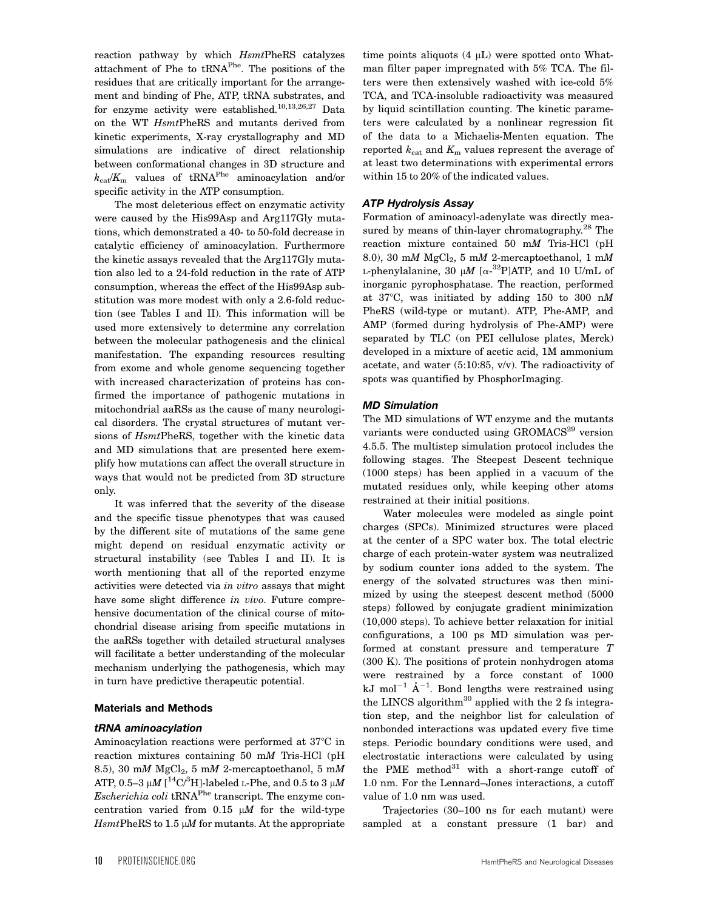reaction pathway by which HsmtPheRS catalyzes attachment of Phe to tRNAPhe. The positions of the residues that are critically important for the arrangement and binding of Phe, ATP, tRNA substrates, and for enzyme activity were established.<sup>10,13,26,27</sup> Data on the WT HsmtPheRS and mutants derived from kinetic experiments, X-ray crystallography and MD simulations are indicative of direct relationship between conformational changes in 3D structure and  $k_{\text{cat}}/K_{\text{m}}$  values of tRNA<sup>Phe</sup> aminoacylation and/or specific activity in the ATP consumption.

The most deleterious effect on enzymatic activity were caused by the His99Asp and Arg117Gly mutations, which demonstrated a 40- to 50-fold decrease in catalytic efficiency of aminoacylation. Furthermore the kinetic assays revealed that the Arg117Gly mutation also led to a 24-fold reduction in the rate of ATP consumption, whereas the effect of the His99Asp substitution was more modest with only a 2.6-fold reduction (see Tables I and II). This information will be used more extensively to determine any correlation between the molecular pathogenesis and the clinical manifestation. The expanding resources resulting from exome and whole genome sequencing together with increased characterization of proteins has confirmed the importance of pathogenic mutations in mitochondrial aaRSs as the cause of many neurological disorders. The crystal structures of mutant versions of  $HsmtPheRS$ , together with the kinetic data and MD simulations that are presented here exemplify how mutations can affect the overall structure in ways that would not be predicted from 3D structure only.

It was inferred that the severity of the disease and the specific tissue phenotypes that was caused by the different site of mutations of the same gene might depend on residual enzymatic activity or structural instability (see Tables I and II). It is worth mentioning that all of the reported enzyme activities were detected via in vitro assays that might have some slight difference in vivo. Future comprehensive documentation of the clinical course of mitochondrial disease arising from specific mutations in the aaRSs together with detailed structural analyses will facilitate a better understanding of the molecular mechanism underlying the pathogenesis, which may in turn have predictive therapeutic potential.

#### Materials and Methods

#### tRNA aminoacylation

Aminoacylation reactions were performed at  $37^{\circ}\text{C}$  in reaction mixtures containing 50 mM Tris-HCl (pH 8.5), 30 mM  $MgCl<sub>2</sub>$ , 5 mM 2-mercaptoethanol, 5 mM ATP, 0.5–3  $\mu$ M [ $\rm ^{14}C/^{3}H$ ]-labeled L-Phe, and 0.5 to 3  $\mu$ M  $Escherichia coli$  tRNA<sup>Phe</sup> transcript. The enzyme concentration varied from  $0.15$   $\mu$  for the wild-type  $H smtPheRS$  to 1.5  $\mu$ *M* for mutants. At the appropriate time points aliquots  $(4 \mu L)$  were spotted onto Whatman filter paper impregnated with 5% TCA. The filters were then extensively washed with ice-cold 5% TCA, and TCA-insoluble radioactivity was measured by liquid scintillation counting. The kinetic parameters were calculated by a nonlinear regression fit of the data to a Michaelis-Menten equation. The reported  $k_{\text{cat}}$  and  $K_{\text{m}}$  values represent the average of at least two determinations with experimental errors within 15 to 20% of the indicated values.

### ATP Hydrolysis Assay

Formation of aminoacyl-adenylate was directly measured by means of thin-layer chromatography. $^{28}$  The reaction mixture contained 50 mM Tris-HCl (pH 8.0), 30 mM  $MgCl<sub>2</sub>$ , 5 mM 2-mercaptoethanol, 1 mM L-phenylalanine, 30  $\mu$ M [ $\alpha$ - $^{32}$ P]ATP, and 10 U/mL of inorganic pyrophosphatase. The reaction, performed at 37°C, was initiated by adding 150 to 300 nM PheRS (wild-type or mutant). ATP, Phe-AMP, and AMP (formed during hydrolysis of Phe-AMP) were separated by TLC (on PEI cellulose plates, Merck) developed in a mixture of acetic acid, 1M ammonium acetate, and water (5:10:85, v/v). The radioactivity of spots was quantified by PhosphorImaging.

### MD Simulation

The MD simulations of WT enzyme and the mutants variants were conducted using GROMACS<sup>29</sup> version 4.5.5. The multistep simulation protocol includes the following stages. The Steepest Descent technique (1000 steps) has been applied in a vacuum of the mutated residues only, while keeping other atoms restrained at their initial positions.

Water molecules were modeled as single point charges (SPCs). Minimized structures were placed at the center of a SPC water box. The total electric charge of each protein-water system was neutralized by sodium counter ions added to the system. The energy of the solvated structures was then minimized by using the steepest descent method (5000 steps) followed by conjugate gradient minimization (10,000 steps). To achieve better relaxation for initial configurations, a 100 ps MD simulation was performed at constant pressure and temperature T (300 K). The positions of protein nonhydrogen atoms were restrained by a force constant of 1000 kJ mol<sup>-1</sup>  $\AA$ <sup>-1</sup>. Bond lengths were restrained using the LINCS algorithm $30$  applied with the 2 fs integration step, and the neighbor list for calculation of nonbonded interactions was updated every five time steps. Periodic boundary conditions were used, and electrostatic interactions were calculated by using the PME method<sup>31</sup> with a short-range cutoff of 1.0 nm. For the Lennard–Jones interactions, a cutoff value of 1.0 nm was used.

Trajectories (30–100 ns for each mutant) were sampled at a constant pressure (1 bar) and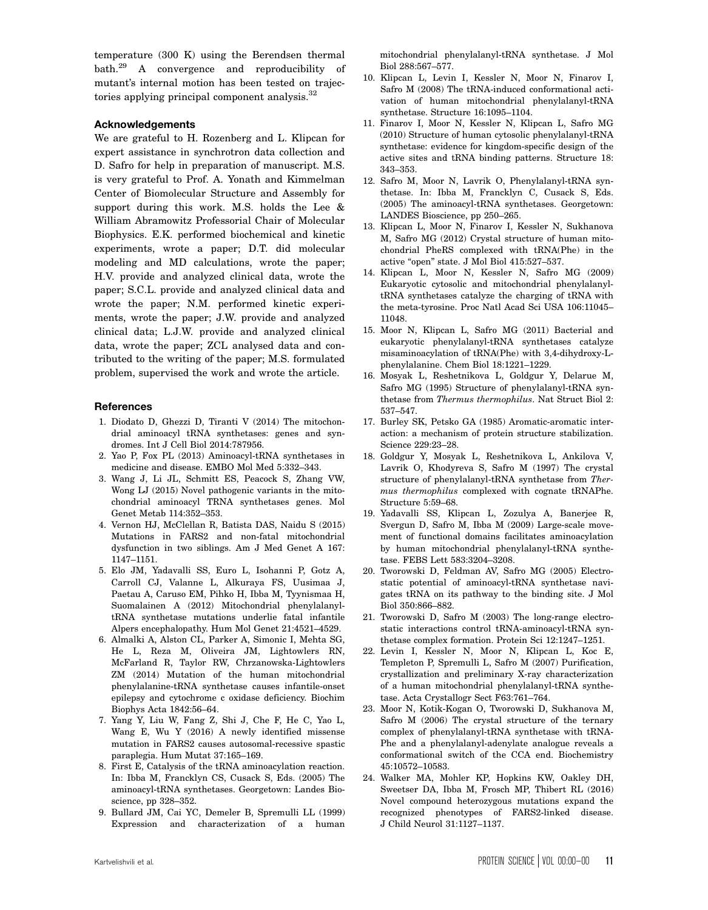temperature (300 K) using the Berendsen thermal bath.<sup>29</sup> A convergence and reproducibility of mutant's internal motion has been tested on trajectories applying principal component analysis.<sup>32</sup>

#### Acknowledgements

We are grateful to H. Rozenberg and L. Klipcan for expert assistance in synchrotron data collection and D. Safro for help in preparation of manuscript. M.S. is very grateful to Prof. A. Yonath and Kimmelman Center of Biomolecular Structure and Assembly for support during this work. M.S. holds the Lee & William Abramowitz Professorial Chair of Molecular Biophysics. E.K. performed biochemical and kinetic experiments, wrote a paper; D.T. did molecular modeling and MD calculations, wrote the paper; H.V. provide and analyzed clinical data, wrote the paper; S.C.L. provide and analyzed clinical data and wrote the paper; N.M. performed kinetic experiments, wrote the paper; J.W. provide and analyzed clinical data; L.J.W. provide and analyzed clinical data, wrote the paper; ZCL analysed data and contributed to the writing of the paper; M.S. formulated problem, supervised the work and wrote the article.

### **References**

- 1. Diodato D, Ghezzi D, Tiranti V (2014) The mitochondrial aminoacyl tRNA synthetases: genes and syndromes. Int J Cell Biol 2014:787956.
- 2. Yao P, Fox PL (2013) Aminoacyl-tRNA synthetases in medicine and disease. EMBO Mol Med 5:332–343.
- 3. Wang J, Li JL, Schmitt ES, Peacock S, Zhang VW, Wong LJ (2015) Novel pathogenic variants in the mitochondrial aminoacyl TRNA synthetases genes. Mol Genet Metab 114:352–353.
- 4. Vernon HJ, McClellan R, Batista DAS, Naidu S (2015) Mutations in FARS2 and non-fatal mitochondrial dysfunction in two siblings. Am J Med Genet A 167: 1147–1151.
- 5. Elo JM, Yadavalli SS, Euro L, Isohanni P, Gotz A, Carroll CJ, Valanne L, Alkuraya FS, Uusimaa J, Paetau A, Caruso EM, Pihko H, Ibba M, Tyynismaa H, Suomalainen A (2012) Mitochondrial phenylalanyltRNA synthetase mutations underlie fatal infantile Alpers encephalopathy. Hum Mol Genet 21:4521–4529.
- 6. Almalki A, Alston CL, Parker A, Simonic I, Mehta SG, He L, Reza M, Oliveira JM, Lightowlers RN, McFarland R, Taylor RW, Chrzanowska-Lightowlers ZM (2014) Mutation of the human mitochondrial phenylalanine-tRNA synthetase causes infantile-onset epilepsy and cytochrome c oxidase deficiency. Biochim Biophys Acta 1842:56–64.
- 7. Yang Y, Liu W, Fang Z, Shi J, Che F, He C, Yao L, Wang E, Wu Y (2016) A newly identified missense mutation in FARS2 causes autosomal-recessive spastic paraplegia. Hum Mutat 37:165–169.
- 8. First E, Catalysis of the tRNA aminoacylation reaction. In: Ibba M, Francklyn CS, Cusack S, Eds. (2005) The aminoacyl-tRNA synthetases. Georgetown: Landes Bioscience, pp 328–352.
- 9. Bullard JM, Cai YC, Demeler B, Spremulli LL (1999) Expression and characterization of a human

mitochondrial phenylalanyl-tRNA synthetase. J Mol Biol 288:567–577.

- 10. Klipcan L, Levin I, Kessler N, Moor N, Finarov I, Safro M (2008) The tRNA-induced conformational activation of human mitochondrial phenylalanyl-tRNA synthetase. Structure 16:1095–1104.
- 11. Finarov I, Moor N, Kessler N, Klipcan L, Safro MG (2010) Structure of human cytosolic phenylalanyl-tRNA synthetase: evidence for kingdom-specific design of the active sites and tRNA binding patterns. Structure 18: 343–353.
- 12. Safro M, Moor N, Lavrik O, Phenylalanyl-tRNA synthetase. In: Ibba M, Francklyn C, Cusack S, Eds. (2005) The aminoacyl-tRNA synthetases. Georgetown: LANDES Bioscience, pp 250–265.
- 13. Klipcan L, Moor N, Finarov I, Kessler N, Sukhanova M, Safro MG (2012) Crystal structure of human mitochondrial PheRS complexed with tRNA(Phe) in the active "open" state. J Mol Biol 415:527–537.
- 14. Klipcan L, Moor N, Kessler N, Safro MG (2009) Eukaryotic cytosolic and mitochondrial phenylalanyltRNA synthetases catalyze the charging of tRNA with the meta-tyrosine. Proc Natl Acad Sci USA 106:11045– 11048.
- 15. Moor N, Klipcan L, Safro MG (2011) Bacterial and eukaryotic phenylalanyl-tRNA synthetases catalyze misaminoacylation of tRNA(Phe) with 3,4-dihydroxy-Lphenylalanine. Chem Biol 18:1221–1229.
- 16. Mosyak L, Reshetnikova L, Goldgur Y, Delarue M, Safro MG (1995) Structure of phenylalanyl-tRNA synthetase from Thermus thermophilus. Nat Struct Biol 2: 537–547.
- 17. Burley SK, Petsko GA (1985) Aromatic-aromatic interaction: a mechanism of protein structure stabilization. Science 229:23–28.
- 18. Goldgur Y, Mosyak L, Reshetnikova L, Ankilova V, Lavrik O, Khodyreva S, Safro M (1997) The crystal structure of phenylalanyl-tRNA synthetase from Thermus thermophilus complexed with cognate tRNAPhe. Structure 5:59–68.
- 19. Yadavalli SS, Klipcan L, Zozulya A, Banerjee R, Svergun D, Safro M, Ibba M (2009) Large-scale movement of functional domains facilitates aminoacylation by human mitochondrial phenylalanyl-tRNA synthetase. FEBS Lett 583:3204–3208.
- 20. Tworowski D, Feldman AV, Safro MG (2005) Electrostatic potential of aminoacyl-tRNA synthetase navigates tRNA on its pathway to the binding site. J Mol Biol 350:866–882.
- 21. Tworowski D, Safro M (2003) The long-range electrostatic interactions control tRNA-aminoacyl-tRNA synthetase complex formation. Protein Sci 12:1247–1251.
- 22. Levin I, Kessler N, Moor N, Klipcan L, Koc E, Templeton P, Spremulli L, Safro M (2007) Purification, crystallization and preliminary X-ray characterization of a human mitochondrial phenylalanyl-tRNA synthetase. Acta Crystallogr Sect F63:761–764.
- 23. Moor N, Kotik-Kogan O, Tworowski D, Sukhanova M, Safro M (2006) The crystal structure of the ternary complex of phenylalanyl-tRNA synthetase with tRNA-Phe and a phenylalanyl-adenylate analogue reveals a conformational switch of the CCA end. Biochemistry 45:10572–10583.
- 24. Walker MA, Mohler KP, Hopkins KW, Oakley DH, Sweetser DA, Ibba M, Frosch MP, Thibert RL (2016) Novel compound heterozygous mutations expand the recognized phenotypes of FARS2-linked disease. J Child Neurol 31:1127–1137.